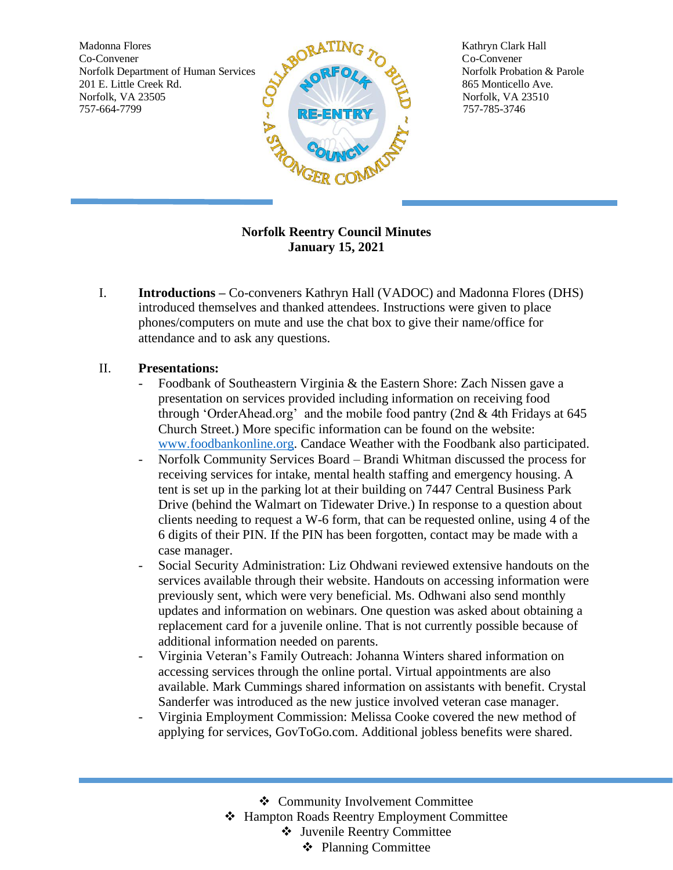Madonna Flores **Solution Clark Hall Solution Clark Hall Kathryn Clark Hall** Norfolk Department of Human Services Norfolk Probation & Parole 201 E. Little Creek Rd. 865 Monticello Ave. Norfolk, VA 23505 Norfolk, VA 23510



## **Norfolk Reentry Council Minutes January 15, 2021**

I. **Introductions –** Co-conveners Kathryn Hall (VADOC) and Madonna Flores (DHS) introduced themselves and thanked attendees. Instructions were given to place phones/computers on mute and use the chat box to give their name/office for attendance and to ask any questions.

## II. **Presentations:**

- Foodbank of Southeastern Virginia & the Eastern Shore: Zach Nissen gave a presentation on services provided including information on receiving food through 'OrderAhead.org' and the mobile food pantry (2nd & 4th Fridays at 645 Church Street.) More specific information can be found on the website: [www.foodbankonline.org.](http://www.foodbankonline.org/) Candace Weather with the Foodbank also participated.
- Norfolk Community Services Board Brandi Whitman discussed the process for receiving services for intake, mental health staffing and emergency housing. A tent is set up in the parking lot at their building on 7447 Central Business Park Drive (behind the Walmart on Tidewater Drive.) In response to a question about clients needing to request a W-6 form, that can be requested online, using 4 of the 6 digits of their PIN. If the PIN has been forgotten, contact may be made with a case manager.
- Social Security Administration: Liz Ohdwani reviewed extensive handouts on the services available through their website. Handouts on accessing information were previously sent, which were very beneficial. Ms. Odhwani also send monthly updates and information on webinars. One question was asked about obtaining a replacement card for a juvenile online. That is not currently possible because of additional information needed on parents.
- Virginia Veteran's Family Outreach: Johanna Winters shared information on accessing services through the online portal. Virtual appointments are also available. Mark Cummings shared information on assistants with benefit. Crystal Sanderfer was introduced as the new justice involved veteran case manager.
- Virginia Employment Commission: Melissa Cooke covered the new method of applying for services, GovToGo.com. Additional jobless benefits were shared.

❖ Community Involvement Committee

❖ Hampton Roads Reentry Employment Committee

❖ Juvenile Reentry Committee

❖ Planning Committee